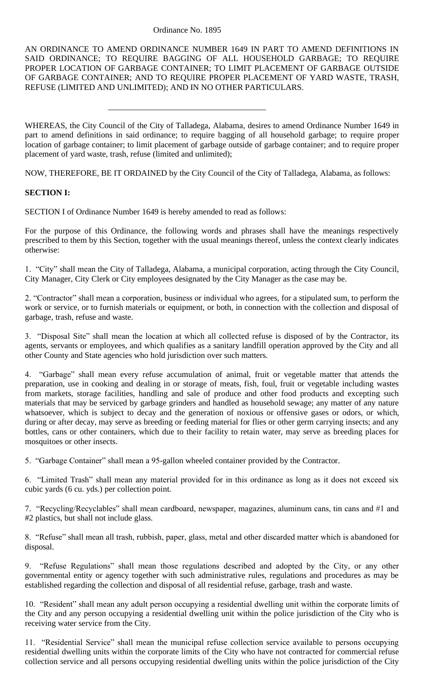#### Ordinance No. 1895

\_\_\_\_\_\_\_\_\_\_\_\_\_\_\_\_\_\_\_\_\_\_\_\_\_\_\_\_\_\_\_\_\_\_\_\_\_\_

AN ORDINANCE TO AMEND ORDINANCE NUMBER 1649 IN PART TO AMEND DEFINITIONS IN SAID ORDINANCE; TO REQUIRE BAGGING OF ALL HOUSEHOLD GARBAGE; TO REQUIRE PROPER LOCATION OF GARBAGE CONTAINER; TO LIMIT PLACEMENT OF GARBAGE OUTSIDE OF GARBAGE CONTAINER; AND TO REQUIRE PROPER PLACEMENT OF YARD WASTE, TRASH, REFUSE (LIMITED AND UNLIMITED); AND IN NO OTHER PARTICULARS.

WHEREAS, the City Council of the City of Talladega, Alabama, desires to amend Ordinance Number 1649 in part to amend definitions in said ordinance; to require bagging of all household garbage; to require proper location of garbage container; to limit placement of garbage outside of garbage container; and to require proper placement of yard waste, trash, refuse (limited and unlimited);

NOW, THEREFORE, BE IT ORDAINED by the City Council of the City of Talladega, Alabama, as follows:

# **SECTION I:**

SECTION I of Ordinance Number 1649 is hereby amended to read as follows:

For the purpose of this Ordinance, the following words and phrases shall have the meanings respectively prescribed to them by this Section, together with the usual meanings thereof, unless the context clearly indicates otherwise:

1. "City" shall mean the City of Talladega, Alabama, a municipal corporation, acting through the City Council, City Manager, City Clerk or City employees designated by the City Manager as the case may be.

2. "Contractor" shall mean a corporation, business or individual who agrees, for a stipulated sum, to perform the work or service, or to furnish materials or equipment, or both, in connection with the collection and disposal of garbage, trash, refuse and waste.

3. "Disposal Site" shall mean the location at which all collected refuse is disposed of by the Contractor, its agents, servants or employees, and which qualifies as a sanitary landfill operation approved by the City and all other County and State agencies who hold jurisdiction over such matters.

4. "Garbage" shall mean every refuse accumulation of animal, fruit or vegetable matter that attends the preparation, use in cooking and dealing in or storage of meats, fish, foul, fruit or vegetable including wastes from markets, storage facilities, handling and sale of produce and other food products and excepting such materials that may be serviced by garbage grinders and handled as household sewage; any matter of any nature whatsoever, which is subject to decay and the generation of noxious or offensive gases or odors, or which, during or after decay, may serve as breeding or feeding material for flies or other germ carrying insects; and any bottles, cans or other containers, which due to their facility to retain water, may serve as breeding places for mosquitoes or other insects.

5. "Garbage Container" shall mean a 95-gallon wheeled container provided by the Contractor.

6. "Limited Trash" shall mean any material provided for in this ordinance as long as it does not exceed six cubic yards (6 cu. yds.) per collection point.

7. "Recycling/Recyclables" shall mean cardboard, newspaper, magazines, aluminum cans, tin cans and #1 and #2 plastics, but shall not include glass.

8. "Refuse" shall mean all trash, rubbish, paper, glass, metal and other discarded matter which is abandoned for disposal.

9. "Refuse Regulations" shall mean those regulations described and adopted by the City, or any other governmental entity or agency together with such administrative rules, regulations and procedures as may be established regarding the collection and disposal of all residential refuse, garbage, trash and waste.

10. "Resident" shall mean any adult person occupying a residential dwelling unit within the corporate limits of the City and any person occupying a residential dwelling unit within the police jurisdiction of the City who is receiving water service from the City.

11. "Residential Service" shall mean the municipal refuse collection service available to persons occupying residential dwelling units within the corporate limits of the City who have not contracted for commercial refuse collection service and all persons occupying residential dwelling units within the police jurisdiction of the City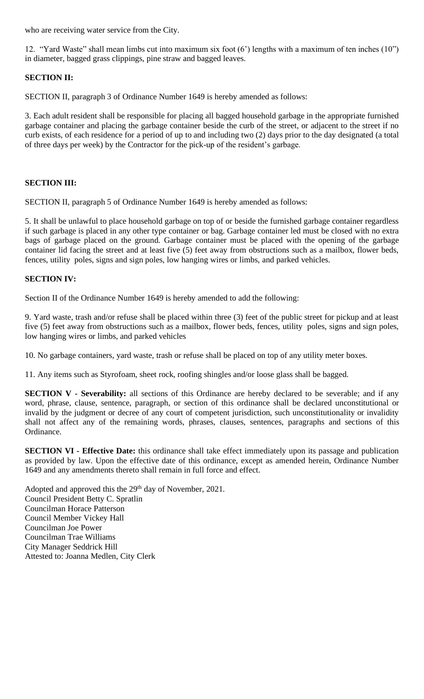who are receiving water service from the City.

12. "Yard Waste" shall mean limbs cut into maximum six foot (6') lengths with a maximum of ten inches (10") in diameter, bagged grass clippings, pine straw and bagged leaves.

# **SECTION II:**

SECTION II, paragraph 3 of Ordinance Number 1649 is hereby amended as follows:

3. Each adult resident shall be responsible for placing all bagged household garbage in the appropriate furnished garbage container and placing the garbage container beside the curb of the street, or adjacent to the street if no curb exists, of each residence for a period of up to and including two (2) days prior to the day designated (a total of three days per week) by the Contractor for the pick-up of the resident's garbage.

# **SECTION III:**

SECTION II, paragraph 5 of Ordinance Number 1649 is hereby amended as follows:

5. It shall be unlawful to place household garbage on top of or beside the furnished garbage container regardless if such garbage is placed in any other type container or bag. Garbage container led must be closed with no extra bags of garbage placed on the ground. Garbage container must be placed with the opening of the garbage container lid facing the street and at least five (5) feet away from obstructions such as a mailbox, flower beds, fences, utility poles, signs and sign poles, low hanging wires or limbs, and parked vehicles.

### **SECTION IV:**

Section II of the Ordinance Number 1649 is hereby amended to add the following:

9. Yard waste, trash and/or refuse shall be placed within three (3) feet of the public street for pickup and at least five (5) feet away from obstructions such as a mailbox, flower beds, fences, utility poles, signs and sign poles, low hanging wires or limbs, and parked vehicles

10. No garbage containers, yard waste, trash or refuse shall be placed on top of any utility meter boxes.

11. Any items such as Styrofoam, sheet rock, roofing shingles and/or loose glass shall be bagged.

**SECTION V - Severability:** all sections of this Ordinance are hereby declared to be severable; and if any word, phrase, clause, sentence, paragraph, or section of this ordinance shall be declared unconstitutional or invalid by the judgment or decree of any court of competent jurisdiction, such unconstitutionality or invalidity shall not affect any of the remaining words, phrases, clauses, sentences, paragraphs and sections of this Ordinance.

**SECTION VI - Effective Date:** this ordinance shall take effect immediately upon its passage and publication as provided by law. Upon the effective date of this ordinance, except as amended herein, Ordinance Number 1649 and any amendments thereto shall remain in full force and effect.

Adopted and approved this the 29<sup>th</sup> day of November, 2021. Council President Betty C. Spratlin Councilman Horace Patterson Council Member Vickey Hall Councilman Joe Power Councilman Trae Williams City Manager Seddrick Hill Attested to: Joanna Medlen, City Clerk